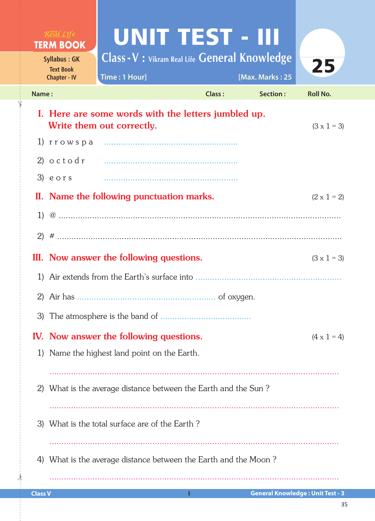|                                                                                                        | $R^{\text{max}}$ $L$ <i>ife</i><br><b>TERM BOOK</b>            | UNIT TEST - III                                                        |            |                                         |                    |  |  |  |  |
|--------------------------------------------------------------------------------------------------------|----------------------------------------------------------------|------------------------------------------------------------------------|------------|-----------------------------------------|--------------------|--|--|--|--|
|                                                                                                        | <b>Syllabus: GK</b><br><b>Text Book</b><br><b>Chapter - IV</b> | <b>Class - V : Vikram Real Life General Knowledge</b><br>Time: 1 Hour] |            | [Max. Marks: 25                         | 25                 |  |  |  |  |
| Name:                                                                                                  |                                                                |                                                                        | Class:     | Section:                                | <b>Roll No.</b>    |  |  |  |  |
| I. Here are some words with the letters jumbled up.<br>Write them out correctly.<br>$(3 \times 1 = 3)$ |                                                                |                                                                        |            |                                         |                    |  |  |  |  |
|                                                                                                        |                                                                |                                                                        |            |                                         |                    |  |  |  |  |
|                                                                                                        |                                                                |                                                                        |            |                                         |                    |  |  |  |  |
|                                                                                                        | 3) eors                                                        |                                                                        |            |                                         |                    |  |  |  |  |
|                                                                                                        |                                                                | II. Name the following punctuation marks.                              |            |                                         | $(2 \times 1 = 2)$ |  |  |  |  |
|                                                                                                        |                                                                |                                                                        |            |                                         |                    |  |  |  |  |
|                                                                                                        |                                                                |                                                                        |            |                                         |                    |  |  |  |  |
|                                                                                                        |                                                                | III. Now answer the following questions.                               |            |                                         | $(3 \times 1 = 3)$ |  |  |  |  |
|                                                                                                        |                                                                |                                                                        |            |                                         |                    |  |  |  |  |
|                                                                                                        | 2) Air has $\ldots$                                            |                                                                        | of oxygen. |                                         |                    |  |  |  |  |
| 3)                                                                                                     |                                                                |                                                                        |            |                                         |                    |  |  |  |  |
|                                                                                                        |                                                                | IV. Now answer the following questions.                                |            |                                         | $(4 \times 1 = 4)$ |  |  |  |  |
|                                                                                                        |                                                                | 1) Name the highest land point on the Earth.                           |            |                                         |                    |  |  |  |  |
|                                                                                                        |                                                                |                                                                        |            |                                         |                    |  |  |  |  |
| 2)                                                                                                     |                                                                | What is the average distance between the Earth and the Sun?            |            |                                         |                    |  |  |  |  |
|                                                                                                        |                                                                |                                                                        |            |                                         |                    |  |  |  |  |
|                                                                                                        |                                                                | 3) What is the total surface are of the Earth?                         |            |                                         |                    |  |  |  |  |
|                                                                                                        |                                                                |                                                                        |            |                                         |                    |  |  |  |  |
|                                                                                                        |                                                                | 4) What is the average distance between the Earth and the Moon?        |            |                                         |                    |  |  |  |  |
|                                                                                                        |                                                                |                                                                        |            |                                         |                    |  |  |  |  |
| <b>Class V</b>                                                                                         |                                                                | 1                                                                      |            | <b>General Knowledge: Unit Test - 3</b> |                    |  |  |  |  |

 $\frac{1}{2}$ 

✁

35